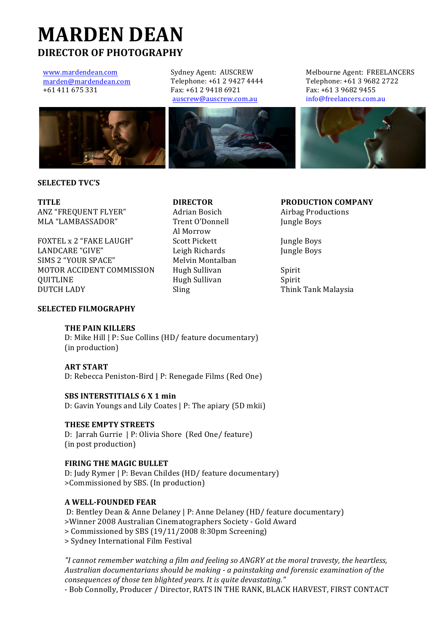# **MARDEN'DEAN DIRECTOR'OF'PHOTOGRAPHY**

www.mardendean.com marden@mardendean.com +61 411 675 331

Sydney Agent: AUSCREW Telephone: +61 2 9427 4444 Fax: +61 2 9418 6921 auscrew@auscrew.com.au







**SELECTED'TVC'S**

ANZ "FREQUENT FLYER" Adrian Bosich Airbag Productions MLA "LAMBASSADOR" Trent O'Donnell Jungle Boys

FOXTEL x 2 "FAKE LAUGH" Scott Pickett Jungle Boys LANDCARE "GIVE" Leigh Richards Jungle Boys SIMS 2 "YOUR SPACE" Melvin Montalban MOTOR ACCIDENT COMMISSION Hugh Sullivan Spirit **OUITLINE** Spirit Spirit Hugh Sullivan Spirit DUTCH LADY Sling Sling Think Tank Malaysia

Al Morrow

**TITLE DIRECTOR PRODUCTION'COMPANY**

|<br>|

# **SELECTED'FILMOGRAPHY**

# **THE'PAIN'KILLERS**

D: Mike Hill | P: Sue Collins (HD/ feature documentary) (in production)

**ART START** D: Rebecca Peniston-Bird | P: Renegade Films (Red One)

#### **SBS'INTERSTITIALS'6 X 1'min**

D: Gavin Youngs and Lily Coates | P: The apiary (5D mkii)

#### **THESE'EMPTY'STREETS**

D: Jarrah Gurrie | P: Olivia Shore (Red One/ feature) (in post production)

# **FIRING THE MAGIC BULLET**

D: Judy Rymer | P: Bevan Childes (HD/ feature documentary) >Commissioned by SBS. (In production)

### **A'WELL?FOUNDED'FEAR'**

D: Bentley Dean & Anne Delaney | P: Anne Delaney (HD/ feature documentary) >Winner 2008 Australian Cinematographers Society - Gold Award

> Commissioned by SBS (19/11/2008 8:30pm Screening)

>!Sydney!International!Film!Festival

*"I cannot remember watching a film and feeling so ANGRY at the moral travesty, the heartless,* Australian documentarians should be making - a painstaking and forensic examination of the *consequences of those ten blighted years. It is quite devastating."* 

- Bob Connolly, Producer / Director, RATS IN THE RANK, BLACK HARVEST, FIRST CONTACT